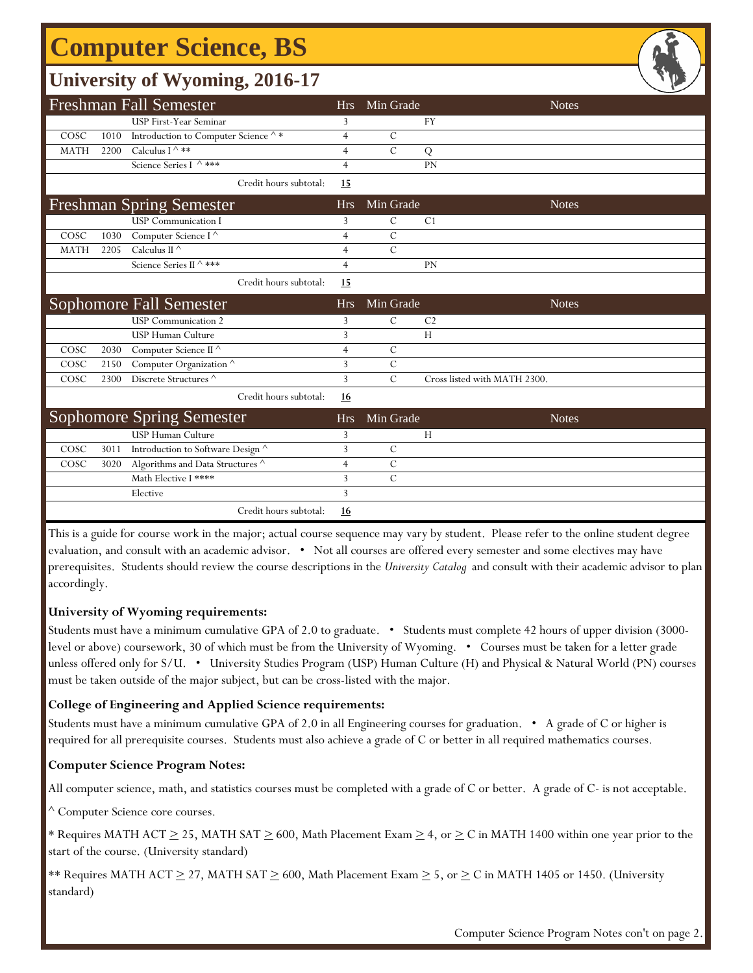# **Computer Science, BS**

### **University of Wyoming, 2016-17**

|             |      |                                                          |                |               | ے                            |
|-------------|------|----------------------------------------------------------|----------------|---------------|------------------------------|
|             |      | <b>Freshman Fall Semester</b>                            | <b>Hrs</b>     | Min Grade     | <b>Notes</b>                 |
|             |      | USP First-Year Seminar                                   | 3              |               | <b>FY</b>                    |
| COSC        | 1010 | Introduction to Computer Science $\mathord{\wedge} \, *$ | $\overline{4}$ | C             |                              |
| <b>MATH</b> | 2200 | Calculus I ^ **                                          | $\overline{4}$ | $\mathcal{C}$ | Q                            |
|             |      | Science Series I ^ ***                                   | $\overline{4}$ |               | PN                           |
|             |      | Credit hours subtotal:                                   | 15             |               |                              |
|             |      | <b>Freshman Spring Semester</b>                          | <b>Hrs</b>     | Min Grade     | <b>Notes</b>                 |
|             |      | <b>USP</b> Communication I                               | 3              | $\mathcal{C}$ | C <sub>1</sub>               |
| COSC        | 1030 | Computer Science I <sup>^</sup>                          | $\overline{4}$ | $\mathcal{C}$ |                              |
| <b>MATH</b> | 2205 | Calculus II $^\wedge$                                    | $\overline{4}$ | $\mathcal{C}$ |                              |
|             |      | Science Series II ^ ***                                  | $\overline{4}$ |               | <b>PN</b>                    |
|             |      | Credit hours subtotal:                                   | 15             |               |                              |
|             |      | <b>Sophomore Fall Semester</b>                           | <b>Hrs</b>     | Min Grade     | <b>Notes</b>                 |
|             |      | <b>USP</b> Communication 2                               | 3              | $\mathcal{C}$ | C <sub>2</sub>               |
|             |      | <b>USP Human Culture</b>                                 | 3              |               | H                            |
| COSC        | 2030 | Computer Science II <sup>^</sup>                         | $\overline{4}$ | $\mathcal{C}$ |                              |
| COSC        | 2150 | Computer Organization $^\wedge$                          | 3              | $\mathcal{C}$ |                              |
| COSC        | 2300 | Discrete Structures ^                                    | 3              | $\mathcal{C}$ | Cross listed with MATH 2300. |
|             |      | Credit hours subtotal:                                   | 16             |               |                              |
|             |      | <b>Sophomore Spring Semester</b>                         | <b>Hrs</b>     | Min Grade     | <b>Notes</b>                 |
|             |      | <b>USP Human Culture</b>                                 | 3              |               | H                            |
| COSC        | 3011 | Introduction to Software Design ^                        | 3              | $\mathcal{C}$ |                              |
| COSC        | 3020 | Algorithms and Data Structures $^\wedge$                 | $\overline{4}$ | $\mathcal{C}$ |                              |
|             |      | Math Elective I ****                                     | 3              | $\mathcal{C}$ |                              |
|             |      | Elective                                                 | 3              |               |                              |
|             |      | Credit hours subtotal:                                   | 16             |               |                              |

This is a guide for course work in the major; actual course sequence may vary by student. Please refer to the online student degree evaluation, and consult with an academic advisor. • Not all courses are offered every semester and some electives may have prerequisites. Students should review the course descriptions in the *University Catalog* and consult with their academic advisor to plan accordingly.

#### **University of Wyoming requirements:**

Students must have a minimum cumulative GPA of 2.0 to graduate. • Students must complete 42 hours of upper division (3000 level or above) coursework, 30 of which must be from the University of Wyoming. • Courses must be taken for a letter grade unless offered only for S/U. • University Studies Program (USP) Human Culture (H) and Physical & Natural World (PN) courses must be taken outside of the major subject, but can be cross-listed with the major.

#### **College of Engineering and Applied Science requirements:**

Students must have a minimum cumulative GPA of 2.0 in all Engineering courses for graduation. • A grade of C or higher is required for all prerequisite courses. Students must also achieve a grade of C or better in all required mathematics courses.

#### **Computer Science Program Notes:**

All computer science, math, and statistics courses must be completed with a grade of C or better. A grade of C- is not acceptable.

^ Computer Science core courses.

\* Requires MATH ACT  $\geq$  25, MATH SAT  $\geq$  600, Math Placement Exam  $\geq$  4, or  $\geq$  C in MATH 1400 within one year prior to the start of the course. (University standard)

\*\* Requires MATH ACT  $\geq$  27, MATH SAT  $\geq$  600, Math Placement Exam  $\geq$  5, or  $\geq$  C in MATH 1405 or 1450. (University standard)

Computer Science Program Notes con't on page 2.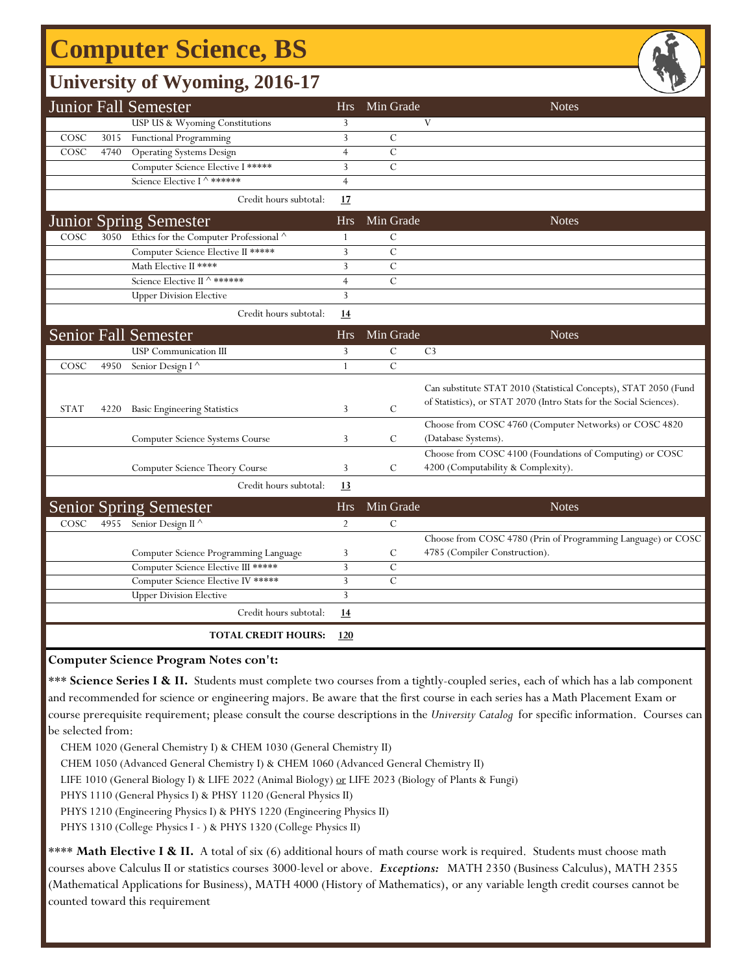# **Computer Science, BS**

### **University of Wyoming, 2016-17**

|             |      | <b>Junior Fall Semester</b>                 | <b>Hrs</b>     | Min Grade      | <b>Notes</b>                                                                                                                            |
|-------------|------|---------------------------------------------|----------------|----------------|-----------------------------------------------------------------------------------------------------------------------------------------|
|             |      | USP US & Wyoming Constitutions              | 3              |                | V                                                                                                                                       |
| COSC        | 3015 | Functional Programming                      | $\overline{3}$ | $\mathcal{C}$  |                                                                                                                                         |
| COSC        | 4740 | <b>Operating Systems Design</b>             | $\overline{4}$ | $\mathcal{C}$  |                                                                                                                                         |
|             |      | Computer Science Elective I *****           | 3              | $\mathcal{C}$  |                                                                                                                                         |
|             |      | Science Elective I ^ ******                 | $\overline{4}$ |                |                                                                                                                                         |
|             |      | Credit hours subtotal:                      | 17             |                |                                                                                                                                         |
|             |      | <b>Junior Spring Semester</b>               | Hrs            | Min Grade      | <b>Notes</b>                                                                                                                            |
| COSC        |      | 3050 Ethics for the Computer Professional ^ | 1              | $\mathcal{C}$  |                                                                                                                                         |
|             |      | Computer Science Elective II *****          | 3              | $\mathcal{C}$  |                                                                                                                                         |
|             |      | Math Elective II ****                       | 3              | $\mathcal{C}$  |                                                                                                                                         |
|             |      | Science Elective II ^ ******                | $\overline{4}$ | $\mathcal{C}$  |                                                                                                                                         |
|             |      | <b>Upper Division Elective</b>              | 3              |                |                                                                                                                                         |
|             |      | Credit hours subtotal:                      | <u>14</u>      |                |                                                                                                                                         |
|             |      | <b>Senior Fall Semester</b>                 | <b>Hrs</b>     | Min Grade      | <b>Notes</b>                                                                                                                            |
|             |      | <b>USP</b> Communication III                | 3              | $\mathcal{C}$  | C <sub>3</sub>                                                                                                                          |
| COSC        | 4950 | Senior Design I <sup>^</sup>                | $\mathbf{1}$   | $\overline{C}$ |                                                                                                                                         |
| <b>STAT</b> | 4220 | <b>Basic Engineering Statistics</b>         | 3              | $\mathcal{C}$  | Can substitute STAT 2010 (Statistical Concepts), STAT 2050 (Fund<br>of Statistics), or STAT 2070 (Intro Stats for the Social Sciences). |
|             |      | Computer Science Systems Course             | 3              | $\mathcal{C}$  | Choose from COSC 4760 (Computer Networks) or COSC 4820<br>(Database Systems).                                                           |
|             |      | Computer Science Theory Course              | 3              | C              | Choose from COSC 4100 (Foundations of Computing) or COSC<br>4200 (Computability & Complexity).                                          |
|             |      | Credit hours subtotal:                      | 13             |                |                                                                                                                                         |
|             |      | <b>Senior Spring Semester</b>               | <b>Hrs</b>     | Min Grade      | <b>Notes</b>                                                                                                                            |
| COSC        | 4955 | Senior Design II <sup>^</sup>               | $\overline{2}$ | $\mathcal{C}$  |                                                                                                                                         |
|             |      |                                             |                |                | Choose from COSC 4780 (Prin of Programming Language) or COSC                                                                            |
|             |      | Computer Science Programming Language       | 3              | ${\bf C}$      | 4785 (Compiler Construction).                                                                                                           |
|             |      | Computer Science Elective III *****         | 3              | $\mathcal{C}$  |                                                                                                                                         |
|             |      | Computer Science Elective IV *****          | 3              | $\mathcal{C}$  |                                                                                                                                         |
|             |      | <b>Upper Division Elective</b>              | 3              |                |                                                                                                                                         |
|             |      | Credit hours subtotal:                      | 14             |                |                                                                                                                                         |
|             |      | <b>TOTAL CREDIT HOURS:</b>                  | 120            |                |                                                                                                                                         |

**Computer Science Program Notes con't:**

\*\*\* **Science Series I & II.** Students must complete two courses from a tightly-coupled series, each of which has a lab component and recommended for science or engineering majors. Be aware that the first course in each series has a Math Placement Exam or course prerequisite requirement; please consult the course descriptions in the *University Catalog* for specific information. Courses can be selected from:

CHEM 1020 (General Chemistry I) & CHEM 1030 (General Chemistry II)

CHEM 1050 (Advanced General Chemistry I) & CHEM 1060 (Advanced General Chemistry II)

LIFE 1010 (General Biology I) & LIFE 2022 (Animal Biology) or LIFE 2023 (Biology of Plants & Fungi)

PHYS 1110 (General Physics I) & PHSY 1120 (General Physics II)

PHYS 1210 (Engineering Physics I) & PHYS 1220 (Engineering Physics II)

PHYS 1310 (College Physics I - ) & PHYS 1320 (College Physics II)

\*\*\*\* Math Elective I & II. A total of six (6) additional hours of math course work is required. Students must choose math courses above Calculus II or statistics courses 3000-level or above. *Exceptions:* MATH 2350 (Business Calculus), MATH 2355 (Mathematical Applications for Business), MATH 4000 (History of Mathematics), or any variable length credit courses cannot be counted toward this requirement